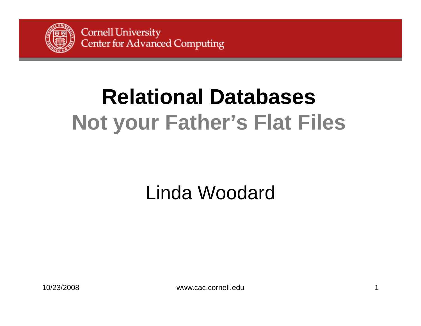

# **Relational DatabasesNot your Father's Flat Files**

## Linda Woodard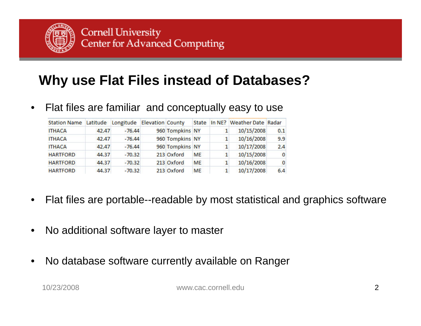

#### **Why use Flat Files instead of Databases?**

•Flat files are familiar and conceptually easy to use

| <b>Station Name</b> | Latitude | Longitude Elevation County |                 |           |              | State In NE? Weather Date Radar |              |
|---------------------|----------|----------------------------|-----------------|-----------|--------------|---------------------------------|--------------|
| <b>ITHACA</b>       | 42.47    | $-76.44$                   | 960 Tompkins NY |           |              | 10/15/2008                      | 0.1          |
| <b>ITHACA</b>       | 42.47    | $-76.44$                   | 960 Tompkins NY |           |              | 10/16/2008                      | 9.9          |
| <b>ITHACA</b>       | 42.47    | $-76.44$                   | 960 Tompkins NY |           | $\mathbf{1}$ | 10/17/2008                      | 2.4          |
| <b>HARTFORD</b>     | 44.37    | $-70.32$                   | 213 Oxford      | <b>ME</b> |              | 10/15/2008                      | $\bf{0}$     |
| <b>HARTFORD</b>     | 44.37    | $-70.32$                   | 213 Oxford      | <b>ME</b> | 1            | 10/16/2008                      | $\mathbf{0}$ |
| <b>HARTFORD</b>     | 44.37    | $-70.32$                   | 213 Oxford      | <b>ME</b> |              | 10/17/2008                      | 6.4          |

- •Flat files are portable--readable by most statistical and graphics software
- •No additional software layer to maste r
- •No database software currently available on Ranger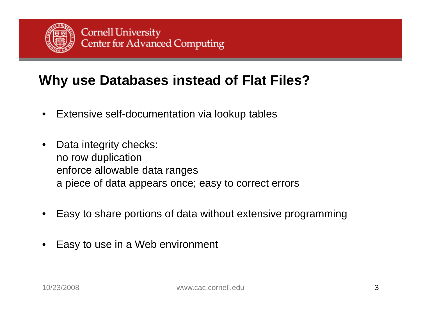

#### **Why use Databases instead of Flat Files?**

- •Extensive self-documentation via lookup tables
- •• Data integrity checks: no row duplication enforce allowable data ranges <sup>a</sup> piece of data appears once; easy to correct errors
- •Easy to share portions of data without extensive programming
- •Easy to use in a Web environment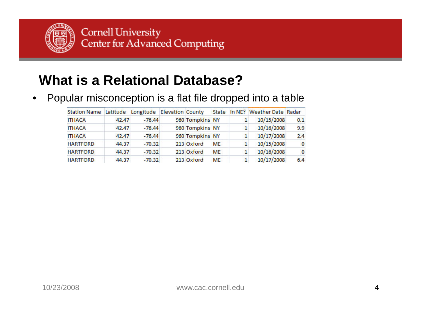

#### **What is a Relational Database?**

 $\bullet$  $\bullet$  Popular misconception is a flat file dropped into a table

| Station Name Latitude Longitude Elevation County |       |          |                 |           |              | State In NE? Weather Date Radar |              |
|--------------------------------------------------|-------|----------|-----------------|-----------|--------------|---------------------------------|--------------|
| <b>ITHACA</b>                                    | 42,47 | $-76.44$ | 960 Tompkins NY |           |              | 10/15/2008                      | 0.1          |
| <b>ITHACA</b>                                    | 42.47 | $-76.44$ | 960 Tompkins NY |           |              | 10/16/2008                      | 9.9          |
| <b>ITHACA</b>                                    | 42.47 | $-76.44$ | 960 Tompkins NY |           |              | 10/17/2008                      | 2.4          |
| <b>HARTFORD</b>                                  | 44.37 | $-70.32$ | 213 Oxford      | <b>ME</b> |              | 10/15/2008                      | $\bf{0}$     |
| <b>HARTFORD</b>                                  | 44.37 | $-70.32$ | 213 Oxford      | <b>ME</b> | $\mathbf{1}$ | 10/16/2008                      | $\mathbf{0}$ |
| <b>HARTFORD</b>                                  | 44.37 | $-70.32$ | 213 Oxford      | <b>ME</b> |              | 10/17/2008                      | 6.4          |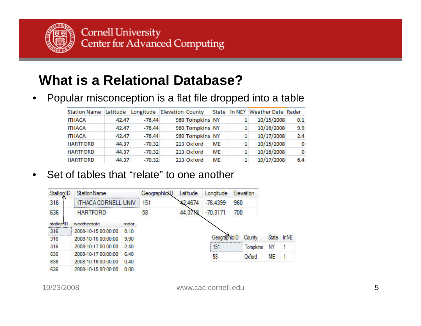

#### **What is a Relational Database?**

#### $\bullet$  $\bullet$  Popular misconception is a flat file dropped into a table

| Station Name Latitude Longitude Elevation County |       |          |                 |           |   | State In NE? Weather Date Radar |              |
|--------------------------------------------------|-------|----------|-----------------|-----------|---|---------------------------------|--------------|
| <b>ITHACA</b>                                    | 42.47 | $-76.44$ | 960 Tompkins NY |           |   | 10/15/2008                      | 0.1          |
| <b>ITHACA</b>                                    | 42.47 | $-76.44$ | 960 Tompkins NY |           |   | 10/16/2008                      | 9.9          |
| <b>ITHACA</b>                                    | 42.47 | $-76.44$ | 960 Tompkins NY |           |   | 10/17/2008                      | 2.4          |
| <b>HARTFORD</b>                                  | 44.37 | $-70.32$ | 213 Oxford      | <b>ME</b> |   | 10/15/2008                      | $\bf{0}$     |
| <b>HARTFORD</b>                                  | 44.37 | $-70.32$ | 213 Oxford      | <b>ME</b> | 1 | 10/16/2008                      | $\mathbf{0}$ |
| <b>HARTFORD</b>                                  | 44.37 | $-70.32$ | 213 Oxford      | <b>ME</b> |   | 10/17/2008                      | 6.4          |

#### •Set of tables that "relate" to one another

| StationID | <b>StationName</b>  |       | GeographicID | Latitude | Longitude    |     | <b>Elevation</b> |           |             |
|-----------|---------------------|-------|--------------|----------|--------------|-----|------------------|-----------|-------------|
| 316       | THACA CORNELL UNI   |       | 151          | 42.4674  | $-76.4399$   | 960 |                  |           |             |
| 636       | <b>HARTFORD</b>     |       | 58           | 44.3718  | $-70.3171$   | 700 |                  |           |             |
| stationID | weatherdate         | radar |              |          |              |     |                  |           |             |
| 316       | 2008-10-15 00:00:00 | 0.10  |              |          |              |     |                  |           |             |
| <br>316   | 2008-10-16 00:00:00 | 9.90  |              |          | GeographicIL |     | County           | State     | <b>InNE</b> |
| 316       | 2008-10-17 00:00:00 | 240   |              |          | 151          |     | <b>Tompkins</b>  | NY        |             |
| 636       | 2008-10-17 00:00:00 | 6.40  |              |          | 58           |     | Oxford           | <b>ME</b> |             |
| 636       | 2008-10-16 00:00:00 | 0.40  |              |          |              |     |                  |           |             |
| 636       | 2008-10-15 00:00:00 | 0.00  |              |          |              |     |                  |           |             |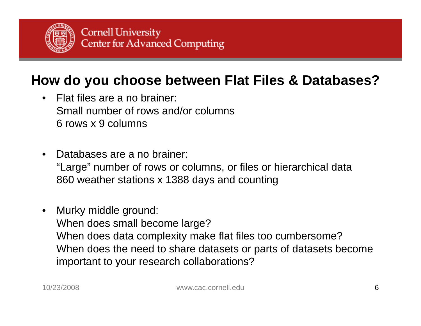

#### **How do you choose between Flat Files & Databases?**

- Flat files are a no brainer: Small number of rows and/or columns6 rows x 9 columns
- • Databases are a no brainer: "Large" number of rows or columns, or files or hierarchical data 860 weather stations x 1388 days and counting
- $\bullet$  Murky middle ground: When does small become large? When does data complexity make flat files too cumbersome? When does the need to share datasets or parts of datasets become important to your research collaborations?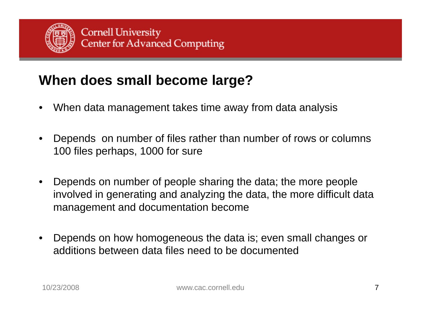

#### **When does small become large?**

- •When data management takes time away from data analysis
- • De pends on number of files rather than number of rows or columns 100 files perhaps, 1000 for sure
- • Depends on number of people sharing the data; the more people involved in generating and analyzing the data, the more difficult data management and documentation become
- • Depends on how homogeneous the data is; even small changes or additions between data files need to be documented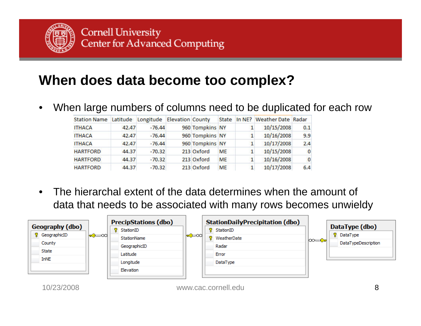

#### **When does data become too complex?**

 $\bullet$ When large numbers of columns need to be duplicated for each row

| Station Name Latitude Longitude Elevation County |       |          |                 |           | State In NE? Weather Date Radar |              |
|--------------------------------------------------|-------|----------|-----------------|-----------|---------------------------------|--------------|
| <b>ITHACA</b>                                    | 42.47 | $-76.44$ | 960 Tompkins NY |           | 10/15/2008                      | 0.1          |
| <b>ITHACA</b>                                    | 42.47 | $-76.44$ | 960 Tompkins NY |           | 10/16/2008                      | 9.9          |
| <b>ITHACA</b>                                    | 42.47 | $-76.44$ | 960 Tompkins NY |           | 10/17/2008                      | 2.4          |
| <b>HARTFORD</b>                                  | 44.37 | $-70.32$ | 213 Oxford      | <b>ME</b> | 10/15/2008                      | $\bf{0}$     |
| <b>HARTFORD</b>                                  | 44.37 | $-70.32$ | 213 Oxford      | <b>ME</b> | 10/16/2008                      | $\mathbf{0}$ |
| <b>HARTFORD</b>                                  | 44.37 | $-70.32$ | 213 Oxford      | <b>ME</b> | 10/17/2008                      | 6.4          |

• The hierarchal extent of the data determines when the amount of data that needs to be associated with many rows becomes unwieldy

| Geography (dbo)<br><sup>8</sup> GeographicID<br>County | l <del>∝3</del> ≔∞di | <b>PrecipStations (dbo)</b><br>8.<br>StationID<br>StationName | l <del>∝3</del> ≔∞all | <b>StationDailyPrecipitation (dbo)</b><br>StationID<br>ν.<br>WeatherDate<br>8. | l∞≕——c⊶l | DataType (dbo)<br><b>8</b> DataType<br>DataTypeDescription |
|--------------------------------------------------------|----------------------|---------------------------------------------------------------|-----------------------|--------------------------------------------------------------------------------|----------|------------------------------------------------------------|
| State<br><b>InNE</b>                                   |                      | GeographicID<br>Latitude<br>Longitude                         |                       | Radar<br>Error<br>DataType                                                     |          |                                                            |
| 10/23/2008                                             |                      | Elevation                                                     |                       | www.cac.cornell.edu                                                            |          |                                                            |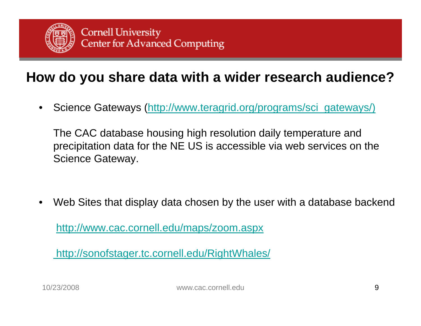

#### **How do you share data with a wider research audience?**

 $\bullet$ Science Gateways (http://www.teragrid.org/programs/sci\_gateways/)

The CAC database housing high resolution daily temperature and precipitation data for the NE US is accessible via web services on the Science Gateway.

•Web Sites that display data chosen by the user with a database backend

<u>http://www.cac.cornell.edu/maps/zoom.aspx</u>

http://sonofstager.tc.cornell.edu/RightWhales/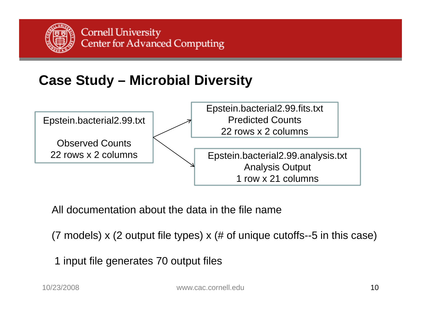

### **Case Study – Microbial Diversity**



All documentation about the data in the file name

(7 models)  $\times$  (2 output file types)  $\times$  (# of unique cutoffs--5 in this case)

1 input file generates 70 output files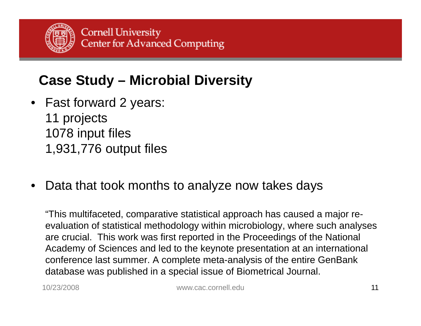

### **Case Study – Microbial Diversity**

- Fast forward 2 years: 11 projects 1078 input files 1,931,776 output files
- Data that took months to analyze now takes days

"This multifaceted, comparative statistical approach has caused a major reevaluation of statistical methodology within microbiology, where such analyses are crucial. This work was first reported in the Proceedings of the National Academy of Sciences and led to the keynote presentation at an international conference last summer. A complete meta-analysis of the entire GenBank database was published in a special issue of Biometrical Journal.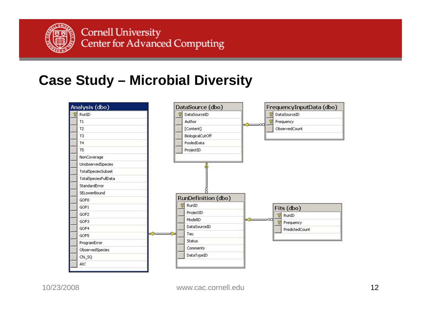

#### **Case Study – Microbial Diversity**